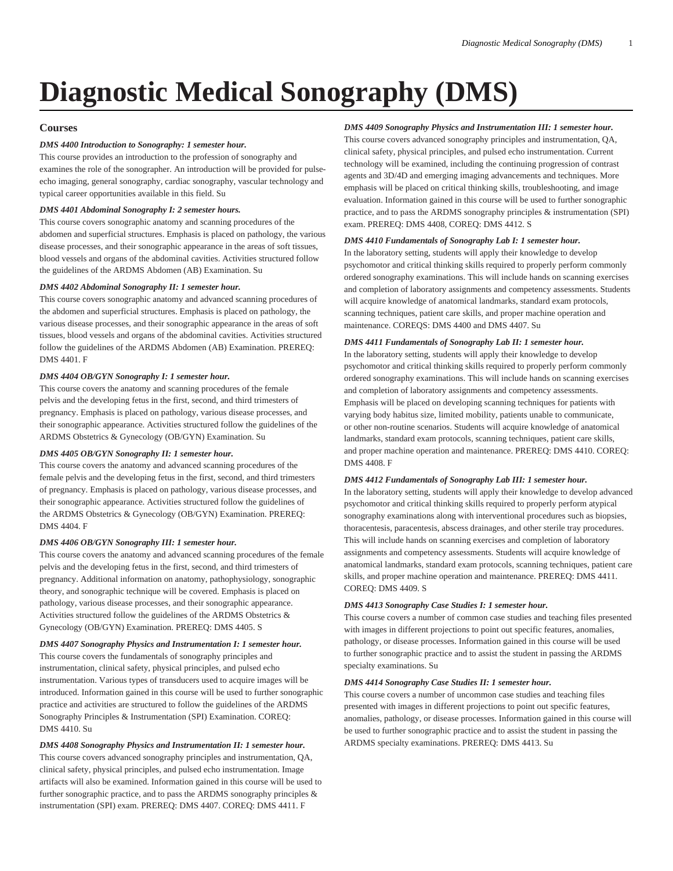# **Diagnostic Medical Sonography (DMS)**

## **Courses**

## *DMS 4400 Introduction to Sonography: 1 semester hour.*

This course provides an introduction to the profession of sonography and examines the role of the sonographer. An introduction will be provided for pulseecho imaging, general sonography, cardiac sonography, vascular technology and typical career opportunities available in this field. Su

## *DMS 4401 Abdominal Sonography I: 2 semester hours.*

This course covers sonographic anatomy and scanning procedures of the abdomen and superficial structures. Emphasis is placed on pathology, the various disease processes, and their sonographic appearance in the areas of soft tissues, blood vessels and organs of the abdominal cavities. Activities structured follow the guidelines of the ARDMS Abdomen (AB) Examination. Su

## *DMS 4402 Abdominal Sonography II: 1 semester hour.*

This course covers sonographic anatomy and advanced scanning procedures of the abdomen and superficial structures. Emphasis is placed on pathology, the various disease processes, and their sonographic appearance in the areas of soft tissues, blood vessels and organs of the abdominal cavities. Activities structured follow the guidelines of the ARDMS Abdomen (AB) Examination. PREREQ: [DMS 4401](/search/?P=DMS%204401). F

## *DMS 4404 OB/GYN Sonography I: 1 semester hour.*

This course covers the anatomy and scanning procedures of the female pelvis and the developing fetus in the first, second, and third trimesters of pregnancy. Emphasis is placed on pathology, various disease processes, and their sonographic appearance. Activities structured follow the guidelines of the ARDMS Obstetrics & Gynecology (OB/GYN) Examination. Su

## *DMS 4405 OB/GYN Sonography II: 1 semester hour.*

This course covers the anatomy and advanced scanning procedures of the female pelvis and the developing fetus in the first, second, and third trimesters of pregnancy. Emphasis is placed on pathology, various disease processes, and their sonographic appearance. Activities structured follow the guidelines of the ARDMS Obstetrics & Gynecology (OB/GYN) Examination. PREREQ: [DMS 4404](/search/?P=DMS%204404). F

## *DMS 4406 OB/GYN Sonography III: 1 semester hour.*

This course covers the anatomy and advanced scanning procedures of the female pelvis and the developing fetus in the first, second, and third trimesters of pregnancy. Additional information on anatomy, pathophysiology, sonographic theory, and sonographic technique will be covered. Emphasis is placed on pathology, various disease processes, and their sonographic appearance. Activities structured follow the guidelines of the ARDMS Obstetrics & Gynecology (OB/GYN) Examination. PREREQ: [DMS 4405](/search/?P=DMS%204405). S

## *DMS 4407 Sonography Physics and Instrumentation I: 1 semester hour.*

This course covers the fundamentals of sonography principles and instrumentation, clinical safety, physical principles, and pulsed echo instrumentation. Various types of transducers used to acquire images will be introduced. Information gained in this course will be used to further sonographic practice and activities are structured to follow the guidelines of the ARDMS Sonography Principles & Instrumentation (SPI) Examination. COREQ: [DMS 4410](/search/?P=DMS%204410). Su

*DMS 4408 Sonography Physics and Instrumentation II: 1 semester hour.* This course covers advanced sonography principles and instrumentation, QA, clinical safety, physical principles, and pulsed echo instrumentation. Image artifacts will also be examined. Information gained in this course will be used to further sonographic practice, and to pass the ARDMS sonography principles & instrumentation (SPI) exam. PREREQ: [DMS 4407.](/search/?P=DMS%204407) COREQ: [DMS 4411](/search/?P=DMS%204411). F

## *DMS 4409 Sonography Physics and Instrumentation III: 1 semester hour.*

This course covers advanced sonography principles and instrumentation, QA, clinical safety, physical principles, and pulsed echo instrumentation. Current technology will be examined, including the continuing progression of contrast agents and 3D/4D and emerging imaging advancements and techniques. More emphasis will be placed on critical thinking skills, troubleshooting, and image evaluation. Information gained in this course will be used to further sonographic practice, and to pass the ARDMS sonography principles & instrumentation (SPI) exam. PREREQ: [DMS 4408,](/search/?P=DMS%204408) COREQ: [DMS 4412](/search/?P=DMS%204412). S

#### *DMS 4410 Fundamentals of Sonography Lab I: 1 semester hour.*

In the laboratory setting, students will apply their knowledge to develop psychomotor and critical thinking skills required to properly perform commonly ordered sonography examinations. This will include hands on scanning exercises and completion of laboratory assignments and competency assessments. Students will acquire knowledge of anatomical landmarks, standard exam protocols, scanning techniques, patient care skills, and proper machine operation and maintenance. COREQS: [DMS 4400](/search/?P=DMS%204400) and [DMS 4407.](/search/?P=DMS%204407) Su

#### *DMS 4411 Fundamentals of Sonography Lab II: 1 semester hour.*

In the laboratory setting, students will apply their knowledge to develop psychomotor and critical thinking skills required to properly perform commonly ordered sonography examinations. This will include hands on scanning exercises and completion of laboratory assignments and competency assessments. Emphasis will be placed on developing scanning techniques for patients with varying body habitus size, limited mobility, patients unable to communicate, or other non-routine scenarios. Students will acquire knowledge of anatomical landmarks, standard exam protocols, scanning techniques, patient care skills, and proper machine operation and maintenance. PREREQ: [DMS 4410](/search/?P=DMS%204410). COREQ: [DMS 4408.](/search/?P=DMS%204408) F

## *DMS 4412 Fundamentals of Sonography Lab III: 1 semester hour.*

In the laboratory setting, students will apply their knowledge to develop advanced psychomotor and critical thinking skills required to properly perform atypical sonography examinations along with interventional procedures such as biopsies, thoracentesis, paracentesis, abscess drainages, and other sterile tray procedures. This will include hands on scanning exercises and completion of laboratory assignments and competency assessments. Students will acquire knowledge of anatomical landmarks, standard exam protocols, scanning techniques, patient care skills, and proper machine operation and maintenance. PREREQ: [DMS 4411](/search/?P=DMS%204411). COREQ: [DMS 4409.](/search/?P=DMS%204409) S

#### *DMS 4413 Sonography Case Studies I: 1 semester hour.*

This course covers a number of common case studies and teaching files presented with images in different projections to point out specific features, anomalies, pathology, or disease processes. Information gained in this course will be used to further sonographic practice and to assist the student in passing the ARDMS specialty examinations. Su

#### *DMS 4414 Sonography Case Studies II: 1 semester hour.*

This course covers a number of uncommon case studies and teaching files presented with images in different projections to point out specific features, anomalies, pathology, or disease processes. Information gained in this course will be used to further sonographic practice and to assist the student in passing the ARDMS specialty examinations. PREREQ: [DMS 4413.](/search/?P=DMS%204413) Su